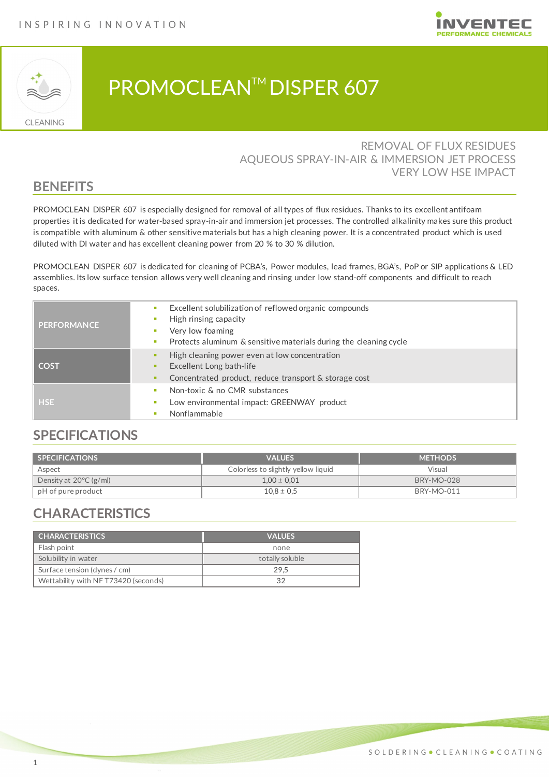



# PROMOCLEAN™ DISPER 607

#### REMOVAL OF FLUX RESIDUES AQUEOUS SPRAY-IN-AIR & IMMERSION JET PROCESS VERY LOW HSE IMPACT

#### **BENEFITS**

PROMOCLEAN DISPER 607 is especially designed for removal of all types of flux residues. Thanks to its excellent antifoam properties it is dedicated for water-based spray-in-air and immersion jet processes. The controlled alkalinity makes sure this product is compatible with aluminum & other sensitive materials but has a high cleaning power. It is a concentrated product which is used diluted with DI water and has excellent cleaning power from 20 % to 30 % dilution.

PROMOCLEAN DISPER 607 is dedicated for cleaning of PCBA's, Power modules, lead frames, BGA's, PoP or SIP applications & LED assemblies. Its low surface tension allows very well cleaning and rinsing under low stand-off components and difficult to reach spaces.

| <b>PERFORMANCE</b> | Excellent solubilization of reflowed organic compounds<br>High rinsing capacity<br>Very low foaming                                |
|--------------------|------------------------------------------------------------------------------------------------------------------------------------|
|                    | Protects aluminum & sensitive materials during the cleaning cycle                                                                  |
| <b>COST</b>        | High cleaning power even at low concentration<br>Excellent Long bath-life<br>Concentrated product, reduce transport & storage cost |
| <b>HSE</b>         | Non-toxic & no CMR substances<br>Low environmental impact: GREENWAY product<br>Nonflammable                                        |

### **SPECIFICATIONS**

| <b>SPECIFICATIONS</b>            | <b>VALUES</b>                       | <b>METHODS</b>    |
|----------------------------------|-------------------------------------|-------------------|
| Aspect                           | Colorless to slightly yellow liquid | Visual            |
| Density at $20^{\circ}$ C (g/ml) | $1,00 \pm 0,01$                     | <b>BRY-MO-028</b> |
| bH of pure product               | $10.8 \pm 0.5$                      | <b>BRY-MO-011</b> |

### **CHARACTERISTICS**

| <b>CHARACTERISTICS</b>              | <b>VALUES</b>   |  |
|-------------------------------------|-----------------|--|
| Flash point                         | none            |  |
| Solubility in water                 | totally soluble |  |
| Surface tension (dynes / cm)        | 29.5            |  |
| Wettability with NFT73420 (seconds) | 32              |  |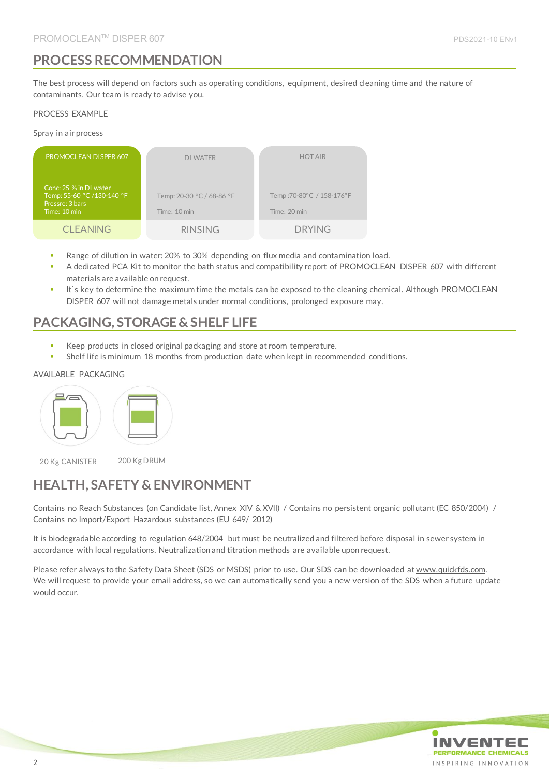### **PROCESS RECOMMENDATION**

The best process will depend on factors such as operating conditions, equipment, desired cleaning time and the nature of contaminants. Our team is ready to advise you.

#### PROCESS EXAMPLE

Spray in air process

| PROMOCLEAN DISPER 607                                                                   | <b>DI WATER</b>                           | <b>HOT AIR</b>                            |
|-----------------------------------------------------------------------------------------|-------------------------------------------|-------------------------------------------|
| Conc: 25 % in DI water<br>Temp: 55-60 °C /130-140 °F<br>Pressre: 3 bars<br>Time: 10 min | Temp: 20-30 °C / 68-86 °F<br>Time: 10 min | Temp: 70-80°C / 158-176°F<br>Time: 20 min |
| <b>CLEANING</b>                                                                         | <b>RINSING</b>                            | <b>DRYING</b>                             |

- Range of dilution in water: 20% to 30% depending on flux media and contamination load.
- A dedicated PCA Kit to monitor the bath status and compatibility report of PROMOCLEAN DISPER 607 with different materials are available on request.
- It's key to determine the maximum time the metals can be exposed to the cleaning chemical. Although PROMOCLEAN DISPER 607 will not damage metals under normal conditions, prolonged exposure may.

### **PACKAGING, STORAGE & SHELF LIFE**

- Keep products in closed original packaging and store at room temperature.
- Shelf life is minimum 18 months from production date when kept in recommended conditions.

#### AVAILABLE PACKAGING



20 Kg CANISTER 200 Kg DRUM

## **HEALTH, SAFETY & ENVIRONMENT**

Contains no Reach Substances (on Candidate list, Annex XIV & XVII) / Contains no persistent organic pollutant (EC 850/2004) / Contains no Import/Export Hazardous substances (EU 649/ 2012)

It is biodegradable according to regulation 648/2004 but must be neutralized and filtered before disposal in sewer system in accordance with local regulations. Neutralization and titration methods are available upon request.

Please refer always to the Safety Data Sheet (SDS or MSDS) prior to use. Our SDS can be downloaded at www.quickfds.com. We will request to provide your email address, so we can automatically send you a new version of the SDS when a future update would occur.